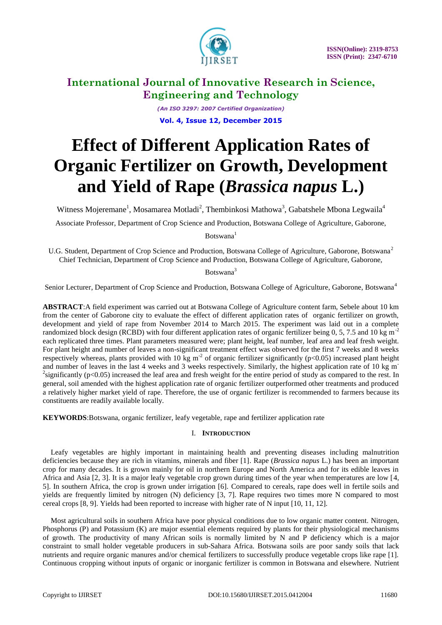

*(An ISO 3297: 2007 Certified Organization)* **Vol. 4, Issue 12, December 2015**

# **Effect of Different Application Rates of Organic Fertilizer on Growth, Development and Yield of Rape (***Brassica napus* **L.)**

Witness Mojeremane<sup>1</sup>, Mosamarea Motladi<sup>2</sup>, Thembinkosi Mathowa<sup>3</sup>, Gabatshele Mbona Legwaila<sup>4</sup>

Associate Professor, Department of Crop Science and Production, Botswana College of Agriculture, Gaborone,

Botswana<sup>1</sup>

U.G. Student, Department of Crop Science and Production, Botswana College of Agriculture, Gaborone, Botswana<sup>2</sup> Chief Technician, Department of Crop Science and Production, Botswana College of Agriculture, Gaborone,

Botswana<sup>3</sup>

Senior Lecturer, Department of Crop Science and Production, Botswana College of Agriculture, Gaborone, Botswana<sup>4</sup>

**ABSTRACT**:A field experiment was carried out at Botswana College of Agriculture content farm, Sebele about 10 km from the center of Gaborone city to evaluate the effect of different application rates of organic fertilizer on growth, development and yield of rape from November 2014 to March 2015. The experiment was laid out in a complete randomized block design (RCBD) with four different application rates of organic fertilizer being  $0, 5, 7.5$  and  $10 \text{ kg m}^{-2}$ each replicated three times. Plant parameters measured were; plant height, leaf number, leaf area and leaf fresh weight. For plant height and number of leaves a non-significant treatment effect was observed for the first 7 weeks and 8 weeks respectively whereas, plants provided with 10 kg m<sup>-2</sup> of organic fertilizer significantly ( $p$ <0.05) increased plant height and number of leaves in the last 4 weeks and 3 weeks respectively. Similarly, the highest application rate of 10 kg m<sup>-</sup> <sup>2</sup>significantly ( $p<0.05$ ) increased the leaf area and fresh weight for the entire period of study as compared to the rest. In general, soil amended with the highest application rate of organic fertilizer outperformed other treatments and produced a relatively higher market yield of rape. Therefore, the use of organic fertilizer is recommended to farmers because its constituents are readily available locally.

**KEYWORDS**:Botswana, organic fertilizer, leafy vegetable, rape and fertilizer application rate

### I. **INTRODUCTION**

Leafy vegetables are highly important in maintaining health and preventing diseases including malnutrition deficiencies because they are rich in vitamins, minerals and fiber [1]. Rape (*Brassica napus* L.) has been an important crop for many decades. It is grown mainly for oil in northern Europe and North America and for its edible leaves in Africa and Asia [2, 3]. It is a major leafy vegetable crop grown during times of the year when temperatures are low [4, 5]. In southern Africa, the crop is grown under irrigation [6]. Compared to cereals, rape does well in fertile soils and yields are frequently limited by nitrogen (N) deficiency [3, 7]. Rape requires two times more N compared to most cereal crops [8, 9]. Yields had been reported to increase with higher rate of N input [10, 11, 12].

Most agricultural soils in southern Africa have poor physical conditions due to low organic matter content. Nitrogen, Phosphorus (P) and Potassium (K) are major essential elements required by plants for their physiological mechanisms of growth. The productivity of many African soils is normally limited by N and P deficiency which is a major constraint to small holder vegetable producers in sub-Sahara Africa. Botswana soils are poor sandy soils that lack nutrients and require organic manures and/or chemical fertilizers to successfully produce vegetable crops like rape [1]. Continuous cropping without inputs of organic or inorganic fertilizer is common in Botswana and elsewhere. Nutrient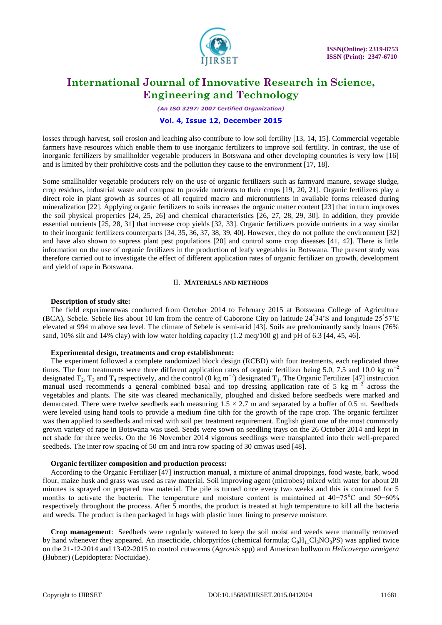

*(An ISO 3297: 2007 Certified Organization)*

#### **Vol. 4, Issue 12, December 2015**

losses through harvest, soil erosion and leaching also contribute to low soil fertility [13, 14, 15]. Commercial vegetable farmers have resources which enable them to use inorganic fertilizers to improve soil fertility. In contrast, the use of inorganic fertilizers by smallholder vegetable producers in Botswana and other developing countries is very low [16] and is limited by their prohibitive costs and the pollution they cause to the environment [17, 18].

Some smallholder vegetable producers rely on the use of organic fertilizers such as farmyard manure, sewage sludge, crop residues, industrial waste and compost to provide nutrients to their crops [19, 20, 21]. Organic fertilizers play a direct role in plant growth as sources of all required macro and micronutrients in available forms released during mineralization [22]. Applying organic fertilizers to soils increases the organic matter content [23] that in turn improves the soil physical properties [24, 25, 26] and chemical characteristics [26, 27, 28, 29, 30]. In addition, they provide essential nutrients [25, 28, 31] that increase crop yields [32, 33]. Organic fertilizers provide nutrients in a way similar to their inorganic fertilizers counterparts [34, 35, 36, 37, 38, 39, 40]. However, they do not pollute the environment [32] and have also shown to supress plant pest populations [20] and control some crop diseases [41, 42]. There is little information on the use of organic fertilizers in the production of leafy vegetables in Botswana. The present study was therefore carried out to investigate the effect of different application rates of organic fertilizer on growth, development and yield of rape in Botswana.

### II. **MATERIALS AND METHODS**

#### **Description of study site:**

The field experimentwas conducted from October 2014 to February 2015 at Botswana College of Agriculture (BCA), Sebele. Sebele lies about 10 km from the centre of Gaborone City on latitude 24° 34"S and longitude 25° 57"E elevated at 994 m above sea level. The climate of Sebele is semi-arid [43]. Soils are predominantly sandy loams (76% sand, 10% silt and 14% clay) with low water holding capacity  $(1.2 \text{ meg}/100 \text{ g})$  and pH of 6.3 [44, 45, 46].

### **Experimental design, treatments and crop establishment:**

The experiment followed a complete randomized block design (RCBD) with four treatments, each replicated three times. The four treatments were three different application rates of organic fertilizer being 5.0, 7.5 and 10.0 kg m<sup>-2</sup> designated  $T_2$ ,  $T_3$  and  $T_4$  respectively, and the control (0 kg m<sup>-2</sup>) designated  $T_1$ . The Organic Fertilizer [47] instruction manual used recommends a general combined basal and top dressing application rate of 5 kg m<sup>-2</sup> across the vegetables and plants. The site was cleared mechanically, ploughed and disked before seedbeds were marked and demarcated. There were twelve seedbeds each measuring  $1.5 \times 2.7$  m and separated by a buffer of 0.5 m. Seedbeds were leveled using hand tools to provide a medium fine tilth for the growth of the rape crop. The organic fertilizer was then applied to seedbeds and mixed with soil per treatment requirement. English giant one of the most commonly grown variety of rape in Botswana was used. Seeds were sown on seedling trays on the 26 October 2014 and kept in net shade for three weeks. On the 16 November 2014 vigorous seedlings were transplanted into their well-prepared seedbeds. The inter row spacing of 50 cm and intra row spacing of 30 cmwas used [48].

#### **Organic fertilizer composition and production process:**

According to the Organic Fertilizer [47] instruction manual, a mixture of animal droppings, food waste, bark, wood flour, maize husk and grass was used as raw material. Soil improving agent (microbes) mixed with water for about 20 minutes is sprayed on prepared raw material. The pile is turned once every two weeks and this is continued for 5 months to activate the bacteria. The temperature and moisture content is maintained at  $40-75^{\circ}$ C and  $50-60^{\circ}$ respectively throughout the process. After 5 months, the product is treated at high temperature to kill all the bacteria and weeds. The product is then packaged in bags with plastic inner lining to preserve moisture.

**Crop management**: Seedbeds were regularly watered to keep the soil moist and weeds were manually removed by hand whenever they appeared. An insecticide, chlorpyrifos (chemical formula;  $C_9H_{11}Cl_3NO_3PS$ ) was applied twice on the 21-12-2014 and 13-02-2015 to control cutworms (*Agrostis* spp) and American bollworm *Helicoverpa armigera*  (Hubner) (Lepidoptera: Noctuidae).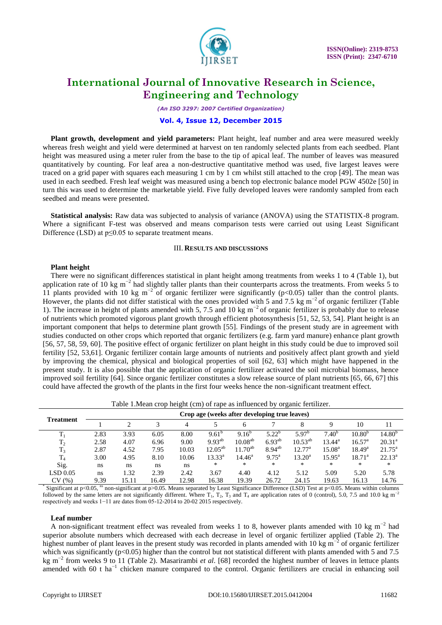

*(An ISO 3297: 2007 Certified Organization)*

#### **Vol. 4, Issue 12, December 2015**

**Plant growth, development and yield parameters:** Plant height, leaf number and area were measured weekly whereas fresh weight and yield were determined at harvest on ten randomly selected plants from each seedbed. Plant height was measured using a meter ruler from the base to the tip of apical leaf. The number of leaves was measured quantitatively by counting. For leaf area a non-destructive quantitative method was used, five largest leaves were traced on a grid paper with squares each measuring 1 cm by 1 cm whilst still attached to the crop [49]. The mean was used in each seedbed. Fresh leaf weight was measured using a bench top electronic balance model PGW 4502e [50] in turn this was used to determine the marketable yield. Five fully developed leaves were randomly sampled from each seedbed and means were presented.

**Statistical analysis:** Raw data was subjected to analysis of variance (ANOVA) using the STATISTIX-8 program. Where a significant F-test was observed and means comparison tests were carried out using Least Significant Difference (LSD) at p≤0.05 to separate treatment means.

### III. **RESULTS AND DISCUSSIONS**

#### **Plant height**

There were no significant differences statistical in plant height among treatments from weeks 1 to 4 (Table 1), but application rate of 10 kg m<sup>-2</sup> had slightly taller plants than their counterparts across the treatments. From weeks 5 to 11 plants provided with 10 kg m<sup>-2</sup> of organic fertilizer were significantly (p<0.05) taller than the control plants. However, the plants did not differ statistical with the ones provided with 5 and 7.5 kg m<sup>-2</sup> of organic fertilizer (Table 1). The increase in height of plants amended with 5, 7.5 and 10 kg m<sup>-2</sup> of organic fertilizer is probably due to release of nutrients which promoted vigorous plant growth through efficient photosynthesis [51, 52, 53, 54]. Plant height is an important component that helps to determine plant growth [55]. Findings of the present study are in agreement with studies conducted on other crops which reported that organic fertilizers (e.g. farm yard manure) enhance plant growth [56, 57, 58, 59, 60]. The positive effect of organic fertilizer on plant height in this study could be due to improved soil fertility [52, 53,61]. Organic fertilizer contain large amounts of nutrients and positively affect plant growth and yield by improving the chemical, physical and biological properties of soil [62, 63] which might have happened in the present study. It is also possible that the application of organic fertilizer activated the soil microbial biomass, hence improved soil fertility [64]. Since organic fertilizer constitutes a slow release source of plant nutrients [65, 66, 67] this could have affected the growth of the plants in the first four weeks hence the non-significant treatment effect.

Table 1.Mean crop height (cm) of rape as influenced by organic fertilizer.

| Treatment      | Crop age (weeks after developing true leaves) |       |       |       |                 |                     |                   |                    |                    |                 |                 |  |
|----------------|-----------------------------------------------|-------|-------|-------|-----------------|---------------------|-------------------|--------------------|--------------------|-----------------|-----------------|--|
|                |                                               |       |       | 4     |                 | 6                   |                   | 8                  |                    | 10              |                 |  |
| $T_1$          | 2.83                                          | 3.93  | 6.05  | 8.00  | $9.61^{\circ}$  | $9.16^{o}$          | $5.22^{b}$        | $5.97^{\circ}$     | $7.40^{b}$         | $10.80^{b}$     | $14.80^{\circ}$ |  |
| T <sub>2</sub> | 2.58                                          | 4.07  | 6.96  | 9.00  | $9.93^{ab}$     | 10.08 <sup>ab</sup> | $6.93^{ab}$       | $10.53^{ab}$       | $13.44^{\rm a}$    | $16.57^{\circ}$ | $20.31^a$       |  |
| $T_3$          | 2.87                                          | 4.52  | 7.95  | 10.03 | $12.05^{ab}$    | $11.70^{ab}$        | $8.94^{ab}$       | $12.77^{\rm a}$    | 15.08 <sup>a</sup> | $18.49^{\rm a}$ | $21.75^{\circ}$ |  |
| $T_4$          | 3.00                                          | 4.95  | 8.10  | 10.06 | $13.33^{\rm a}$ | $14.46^{\circ}$     | $9.75^{\text{a}}$ | $13.20^{\text{a}}$ | $15.95^{\text{a}}$ | $18.71^{\circ}$ | $22.13^a$       |  |
| Sig.           | ns                                            | ns    | ns    | ns    | ∗               | ∗                   | *                 | *                  | *                  | $\ast$          | $\ast$          |  |
| LSD 0.05       | ns                                            | l.32  | 2.39  | 2.42  | 3.67            | 4.40                | 4.12              | 5.12               | 5.09               | 5.20            | 5.78            |  |
| CV<br>(%)      | 9.39                                          | 15.11 | 16.49 | 12.98 | 16.38           | 19.39               | 26.72             | 24.15              | 19.63              | 16.13           | 14.76           |  |

\* Significant at p<0.05, <sup>ns</sup> non-significant at p>0.05. Means separated by Least Significance Difference (LSD) Test at p<0.05. Means within columns followed by the same letters are not significantly different. Where  $T_1$ ,  $T_2$ ,  $T_3$  and  $T_4$  are application rates of 0 (control), 5.0, 7.5 and 10.0 kg m<sup>-2</sup> respectively and weeks 1−11 are dates from 05-12-2014 to 20-02 2015 respectively.

#### **Leaf number**

A non-significant treatment effect was revealed from weeks 1 to 8, however plants amended with 10 kg m<sup>-2</sup> had superior absolute numbers which decreased with each decrease in level of organic fertilizer applied (Table 2). The highest number of plant leaves in the present study was recorded in plants amended with 10 kg m<sup>-2</sup> of organic fertilizer which was significantly ( $p<0.05$ ) higher than the control but not statistical different with plants amended with 5 and 7.5 kg m−2 from weeks 9 to 11 (Table 2). Masarirambi *et al*. [68] recorded the highest number of leaves in lettuce plants amended with 60 t ha<sup>-1</sup> chicken manure compared to the control. Organic fertilizers are crucial in enhancing soil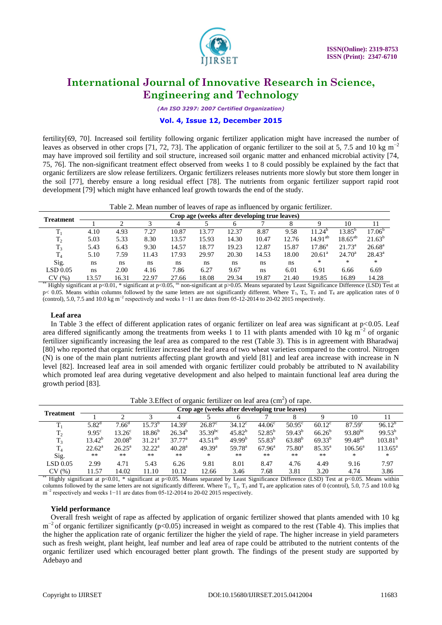

*(An ISO 3297: 2007 Certified Organization)*

### **Vol. 4, Issue 12, December 2015**

fertility[69, 70]. Increased soil fertility following organic fertilizer application might have increased the number of leaves as observed in other crops [71, 72, 73]. The application of organic fertilizer to the soil at 5, 7.5 and 10 kg m<sup>-2</sup> may have improved soil fertility and soil structure, increased soil organic matter and enhanced microbial activity [74, 75, 76]. The non-significant treatment effect observed from weeks 1 to 8 could possibly be explained by the fact that organic fertilizers are slow release fertilizers. Organic fertilizers releases nutrients more slowly but store them longer in the soil [77], thereby ensure a long residual effect [78]. The nutrients from organic fertilizer support rapid root development [79] which might have enhanced leaf growth towards the end of the study.

| Table 2. Mean number of leaves of rape as influenced by organic fertilizer. |  |  |
|-----------------------------------------------------------------------------|--|--|
|-----------------------------------------------------------------------------|--|--|

| <b>Treatment</b> | Crop age (weeks after developing true leaves) |       |       |       |       |       |       |       |                 |                 |                 |  |  |
|------------------|-----------------------------------------------|-------|-------|-------|-------|-------|-------|-------|-----------------|-----------------|-----------------|--|--|
|                  |                                               |       |       | 4     |       |       |       |       |                 | 10              |                 |  |  |
|                  | 4.10                                          | 4.93  | 7.27  | 10.87 | 13.77 | 12.37 | 8.87  | 9.58  | $11.24^{\circ}$ | $13.85^{\circ}$ | $17.06^{b}$     |  |  |
| $T_2$            | 5.03                                          | 5.33  | 8.30  | 13.57 | 15.93 | 14.30 | 10.47 | 12.76 | $14.91^{ab}$    | $18.65^{ab}$    | $21.63^{b}$     |  |  |
| $T_3$            | 5.43                                          | 6.43  | 9.30  | 14.57 | 18.77 | 19.23 | 12.87 | 15.87 | $17.86^{\circ}$ | $21.73^{\circ}$ | $26.68^{\rm a}$ |  |  |
| T <sub>4</sub>   | 5.10                                          | 7.59  | 11.43 | 17.93 | 29.97 | 20.30 | 14.53 | 18.00 | $20.61^{\circ}$ | $24.70^{\rm a}$ | $28.43^{\circ}$ |  |  |
| Sig.             | ns                                            | ns    | ns    | ns    | ns    | ns    | ns    | ns    | ∗               | *               | *               |  |  |
| LSD 0.05         | ns                                            | 2.00  | 4.16  | 7.86  | 6.27  | 9.67  | ns    | 6.01  | 6.91            | 6.66            | 6.69            |  |  |
| (% )<br>CV       | 13.57                                         | 16.31 | 22.97 | 27.66 | 18.08 | 29.34 | 19.87 | 21.40 | 19.85           | 16.89           | 14.28           |  |  |

\*\* Highly significant at p<0.01, \* significant at p<0.05, <sup>ns</sup> non-significant at p>0.05. Means separated by Least Significance Difference (LSD) Test at  $p$ < 0.05. Means within columns followed by the same letters are not significantly different. Where  $T_1$ ,  $T_2$ ,  $T_3$  and  $T_4$  are application rates of 0 (control), 5.0, 7.5 and 10.0 kg m<sup>-2</sup> respectively and weeks  $1-11$  are dates from 05-12-2014 to 20-02 2015 respectively.

#### **Leaf area**

In Table 3 the effect of different application rates of organic fertilizer on leaf area was significant at  $p<0.05$ . Leaf area differed significantly among the treatments from weeks 1 to 11 with plants amended with 10 kg  $m^{-2}$  of organic fertilizer significantly increasing the leaf area as compared to the rest (Table 3). This is in agreement with Bharadwaj [80] who reported that organic fertilizer increased the leaf area of two wheat varieties compared to the control. Nitrogen (N) is one of the main plant nutrients affecting plant growth and yield [81] and leaf area increase with increase in N level [82]. Increased leaf area in soil amended with organic fertilizer could probably be attributed to N availability which promoted leaf area during vegetative development and also helped to maintain functional leaf area during the growth period [83].

| Table 3. Effect of organic fertilizer on leaf area $(cm2)$ of rape. |  |  |  |
|---------------------------------------------------------------------|--|--|--|
|                                                                     |  |  |  |
|                                                                     |  |  |  |

| <b>Treatment</b>          | Crop age (weeks after developing true leaves) |                 |             |                    |                    |                    |                 |                 |                 |                  |                  |  |  |
|---------------------------|-----------------------------------------------|-----------------|-------------|--------------------|--------------------|--------------------|-----------------|-----------------|-----------------|------------------|------------------|--|--|
|                           |                                               |                 |             | 4                  |                    |                    |                 |                 |                 | 10               |                  |  |  |
| m                         | $5.82^{\rm d}$                                | $7.66^{\circ}$  | $15.73^{b}$ | 14.39 <sup>c</sup> | $26.87^{\circ}$    | $34.12^{\circ}$    | $44.06^{\circ}$ | $50.95^{\circ}$ | $60.12^{\circ}$ | $87.59^{\circ}$  | $96.12^{b}$      |  |  |
| T <sub>2</sub>            | 9.95 <sup>c</sup>                             | $13.26^{\circ}$ | $18.86^{b}$ | $26.34^{b}$        | $35.39^{bc}$       | $45.82^{b}$        | $52.85^{b}$     | $59.43^{b}$     | $66.26^{b}$     | $93.80^{bc}$     | $99.53^{b}$      |  |  |
| $T_3$                     | $13.42^{b}$                                   | $20.08^{b}$     | $31.21^a$   | $37.77^{\rm a}$    | $43.51^{ab}$       | 49.99 <sup>b</sup> | $55.83^{b}$     | $63.88^{b}$     | $69.33^{b}$     | $99.48^{ab}$     | $103.81^{b}$     |  |  |
| $T_{4}$                   | $22.62^{\rm a}$                               | $26.25^{\rm a}$ | $32.22^a$   | 40.28 <sup>a</sup> | 49.39 <sup>a</sup> | 59.78 <sup>a</sup> | $67.96^{\rm a}$ | $75.80^{\circ}$ | $85.35^{\circ}$ | $106.56^{\rm a}$ | $113.65^{\circ}$ |  |  |
| Sig.                      | **                                            | $**$            | $***$       | $***$              | $\ast$             | $**$               | $***$           | $***$           | $***$           | *                | $*$              |  |  |
| LSD 0.05                  | 2.99                                          | 4.71            | 5.43        | 6.26               | 9.81               | 8.01               | 8.47            | 4.76            | 4.49            | 9.16             | 7.97             |  |  |
| CV(%)<br>$*$ $*$ $     -$ | 11.57                                         | 14.02           | 11.10       | 10.12              | 12.66              | 3.46               | 7.68            | 3.81            | 3.20            | 4.74             | 3.86             |  |  |

Highly significant at p<0.01, \* significant at p<0.05. Means separated by Least Significance Difference (LSD) Test at p<0.05. Means within columns followed by the same letters are not significantly different. Where T<sub>1</sub>, T<sub>2</sub>, T<sub>3</sub> and T<sub>4</sub> are application rates of 0 (control), 5.0, 7.5 and 10.0 kg m<sup>-2</sup> respectively and weeks 1–11 are dates from 05-12-2014 to 20-02 2015 respectively.

#### **Yield performance**

Overall fresh weight of rape as affected by application of organic fertilizer showed that plants amended with 10 kg m<sup>-2</sup> of organic fertilizer significantly (p<0.05) increased in weight as compared to the rest (Table 4). This implies that the higher the application rate of organic fertilizer the higher the yield of rape. The higher increase in yield parameters such as fresh weight, plant height, leaf number and leaf area of rape could be attributed to the nutrient contents of the organic fertilizer used which encouraged better plant growth. The findings of the present study are supported by Adebayo and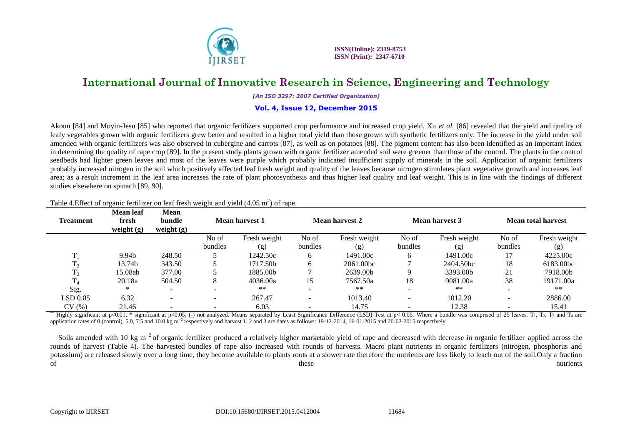

 **ISSN(Online): 2319-8753 ISSN (Print): 2347-6710**

### **International Journal of Innovative Research in Science, Engineering and Technology**

*(An ISO 3297: 2007 Certified Organization)*

#### **Vol. 4, Issue 12, December 2015**

Akoun [84] and Moyin-Jesu [85] who reported that organic fertilizers supported crop performance and increased crop yield. Xu *et al.* [86] revealed that the yield and quality of leafy vegetables grown with organic fertilizers grew better and resulted in a higher total yield than those grown with synthetic fertilizers only. The increase in the yield under soil amended with organic fertilizers was also observed in cubergine and carrots [87], as well as on potatoes [88]. The pigment content has also been identified as an important index in determining the quality of rape crop [89]. In the present study plants grown with organic fertilizer amended soil were greener than those of the control. The plants in the control seedbeds had lighter green leaves and most of the leaves were purple which probably indicated insufficient supply of minerals in the soil. Application of organic fertilizers probably increased nitrogen in the soil which positively affected leaf fresh weight and quality of the leaves because nitrogen stimulates plant vegetative growth and increases leaf area; as a result increment in the leaf area increases the rate of plant photosynthesis and thus higher leaf quality and leaf weight. This is in line with the findings of different studies elsewhere on spinach [89, 90].

| <b>Treatment</b> | <b>Mean leaf</b><br>fresh<br>weight $(g)$ | <b>Mean</b><br>bundle<br>weight $(g)$ |                          | Mean harvest 1 | Mean harvest 2           |              |         | <b>Mean harvest 3</b> | Mean total harvest |              |
|------------------|-------------------------------------------|---------------------------------------|--------------------------|----------------|--------------------------|--------------|---------|-----------------------|--------------------|--------------|
|                  |                                           |                                       | No of                    | Fresh weight   | No of                    | Fresh weight | No of   | Fresh weight          | No of              | Fresh weight |
|                  |                                           |                                       | bundles                  | (g)            | bundles                  | (ጀ)          | bundles | (g)                   | bundles            | (g)          |
|                  | 9.94b                                     | 248.50                                |                          | 1242.50c       | 6                        | 1491.00c     |         | 1491.00c              |                    | 4225.00c     |
|                  | 13.74b                                    | 343.50                                |                          | 1717.50b       | 6                        | 2061.00bc    |         | 2404.50bc             | 18                 | 6183.00bc    |
|                  | 15.08ab                                   | 377.00                                |                          | 1885.00b       |                          | 2639.00b     | Q       | 3393.00b              | 21                 | 7918.00b     |
| m                | 20.18a                                    | 504.50                                | 8                        | 4036.00a       | 15                       | 7567.50a     | 18      | 9081.00a              | 38                 | 19171.00a    |
| Sig.             | ∗                                         | $\overline{\phantom{0}}$              |                          | $***$          | $\overline{\phantom{a}}$ | **           |         | **                    |                    | **           |
| LSD 0.05         | 6.32                                      | -                                     | $\overline{\phantom{a}}$ | 267.47         | -                        | 1013.40      |         | 1012.20               |                    | 2886.00      |
| CV(%)            | 21.46                                     |                                       |                          | 6.03           | $\overline{\phantom{0}}$ | 14.75        |         | 12.38                 |                    | 15.41        |

### Table 4. Effect of organic fertilizer on leaf fresh weight and yield  $(4.05 \text{ m}^2)$  of rape.

Highly significant at p<0.01, \* significant at p<0.05, (-) not analyzed. Means separated by Least Significance Difference (LSD) Test at p< 0.05. Where a bundle was comprised of 25 leaves. T<sub>1</sub>, T<sub>2</sub>, T<sub>3</sub> and T<sub>4</sub> are application rates of 0 (control), 5.0, 7.5 and 10.0 kg m<sup>-2</sup> respectively and harvest 1, 2 and 3 are dates as follows: 19-12-2014, 16-01-2015 and 20-02-2015 respectively.

Soils amended with 10 kg m<sup>-2</sup> of organic fertilizer produced a relatively higher marketable yield of rape and decreased with decrease in organic fertilizer applied across the rounds of harvest (Table 4). The harvested bundles of rape also increased with rounds of harvests. Macro plant nutrients in organic fertilizers (nitrogen, phosphorus and potassium) are released slowly over a long time, they become available to plants roots at a slower rate therefore the nutrients are less likely to leach out of the soil.Only a fraction of these nutrients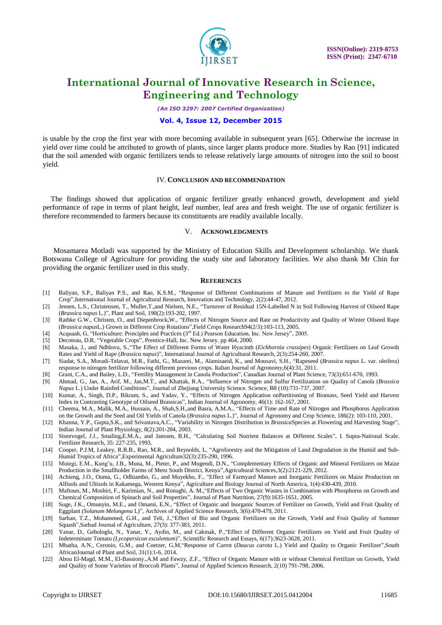

*(An ISO 3297: 2007 Certified Organization)*

#### **Vol. 4, Issue 12, December 2015**

is usable by the crop the first year with more becoming available in subsequent years [65]. Otherwise the increase in yield over time could be attributed to growth of plants, since larger plants produce more. Studies by Rao [91] indicated that the soil amended with organic fertilizers tends to release relatively large amounts of nitrogen into the soil to boost yield.

#### IV.**CONCLUSION AND RECOMMENDATION**

The findings showed that application of organic fertilizer greatly enhanced growth, development and yield performance of rape in terms of plant height, leaf number, leaf area and fresh weight. The use of organic fertilizer is therefore recommended to farmers because its constituents are readily available locally.

#### V. **ACKNOWLEDGMENTS**

Mosamarea Motladi was supported by the Ministry of Education Skills and Development scholarship. We thank Botswana College of Agriculture for providing the study site and laboratory facilities. We also thank Mr Chin for providing the organic fertilizer used in this study.

#### **REFERENCES**

- [1] Baliyan, S.P., Baliyan P.S., and Rao, K.S.M., "Response of Different Combinations of Manure and Fertilizers to the Yield of Rape Crop",International Journal of Agricultural Research, Innovation and Technology, 2(2):44-47, 2012.
- [2] Jensen, L.S., Christensen, T., Muller,T.,and Nielsen, N.E., "Turnover of Residual 15N-Labelled N in Soil Following Harvest of Oilseed Rape (*Brassica napus* L.)", Plant and Soil, 190(2):193-202, 1997.
- [3] Rathke G.W., Christen, O., and Diepenbrock,W., "Effects of Nitrogen Source and Rate on Productivity and Quality of Winter Oilseed Rape (*Brassica napus*L.) Grown in Different Crop Rotations",Field Crops Research94(2/3):103-113, 2005.
- [4] Acquaah, G, "Horticulture: Principles and Practices (3rd Ed.) Pearson Education, Inc. New Jersey", 2005.
- [5] Decoteau, D.R, "Vegetable Crops", Prentice-Hall, Inc. New Jersey. pp 464, 2000.
- [6] Masaka, J., and Ndhlovu, S.,"The Effect of Different Forms of Water Hyacinth (*Eichhornia crassipes*) Organic Fertilizers on Leaf Growth Rates and Yield of Rape (*Brassica napus*)", International Journal of Agricultural Research, 2(3):254-260, 2007.
- [7] Siadat, S.A., Moradi-Telavat, M.R., Fathi, G., Mazarei, M., Alamisaeid, K., and Mousavi, S.H., "Rapeseed (*Brassica napus* L. var. oleifera) response to nitrogen fertilizer following different previous crops. Italian Journal of Agronomy,6(4):31, 2011.
- [8] Grant, C.A., and Bailey, L.D., "Fertility Management in Canola Production", Canadian Journal of Plant Science, 73(3):651-670, 1993.
- [9] Ahmad, G., Jan, A., Arif, M., Jan,M.T., and Khattak, R.A., "Influence of Nitrogen and Sulfur Fertilization on Quality of Canola (*Brassica Napus* L.) Under Rainfed Conditions", Journal of Zhejiang University Science. Science, B8 (10):731-737, 2007.
- [10] Kumar, A., Singh, D.P., Bikram, S., and Yadav, Y., "Effects of Nitrogen Application onPartitioning of Biomass, Seed Yield and Harvest Index in Contrasting Genotype of Oilseed Brassicas", Indian Journal of Agronomy, 46(1): 162-167, 2001.
- [11] Cheema, M.A., Malik, M.A., Hussain, A., Shah,S.H.,and Basra, A.M.A., "Effects of Time and Rate of Nitrogen and Phosphorus Application on the Growth and the Seed and Oil Yields of Canola (*Brassica napus* L.)", Journal of Agronomy and Crop Science, 186(2): 103-110, 2001.
- [12] Khanna, Y.P., Gupta,S.K., and Srivastava,A.C., "Variability in Nitrogen Distribution in *Brassica*Species at Flowering and Harvesting Stage", Indian Journal of Plant Physiology, 8(2):201-204, 2003.
- [13] Stoorvogel, J.J., Smaling,E.M.A., and Janssen, B.H., "Calculating Soil Nutrient Balances at Different Scales", I. Supra-National Scale. Fertilizer Research, 35: 227-235, 1993.
- [14] Cooper, P.J.M, Leakey, R.R.B., Rao*,* M.R., and Reynolds, L, "Agroforestry and the Mitigation of Land Degradation in the Humid and Sub-Humid Tropics of Africa",Experimental Agriculture32(3):235-290, 1996.
- [15] Mutegi, E.M., Kung'u, J.B., Muna, M., Pieter, P., and Mugendi, D.N., "Complementary Effects of Organic and Mineral Fertilizers on Maize Production in the Smallholder Farms of Meru South District, Kenya",Agricultural Sciences,3(2):2121-229, 2012.
- [16] Achieng, J.O., Ouma, G., Odhiambo, G., and Muyekho, F., "Effect of Farmyard Manure and Inorganic Fertilizers on Maize Production on Alfisols and Ultisols in Kakamega, Western Kenya", Agriculture and Biology Journal of North America, 1(4):430-439, 2010.
- [17] Maftoun, M., Moshiri, F., Karimian, N., and Ronaghi, A. M.,"Effects of Two Organic Wastes in Combination with Phosphorus on Growth and Chemical Composition of Spinach and Soil Properties", Journal of Plant Nutrition, 27(9):1635-1651, 2005.
- [18] Suge, J.K., Omunyin, M.E., and Omami, E.N., "Effect of Organic and Inorganic Sources of Fertilizer on Growth, Yield and Fruit Quality of Eggplant *(Solanum Melongena* L)", Archives of Applied Science Research, 3(6):470-479, 2011.
- [19] Sarhan, T.Z., Mohammed, G.H., and Teli, J.,"Effect of Bio and Organic Fertilizers on the Growth, Yield and Fruit Quality of Summer Squash",Sarhad Journal of Agriculture, 27(3): 377-383, 2011.
- [20] Yanar, D., Gebologlu, N., Yanar, Y., Aydin, M., and Cakmak, P.,"Effect of Different Organic Fertilizers on Yield and Fruit Quality of Indeterminate Tomato *(Lycopersicon esculentum*)", Scientific Research and Essays, 6(17):3623-3628, 2011.
- [21] Mbatha, A.N., Ceronio, G.M., and Coetzer, G.M,"Response of Carrot (*Daucus carota* L.) Yield and Quality to Organic Fertilizer",South AfricanJournal of Plant and Soil, 31(1):1-6, 2014.
- [22] Abou El-Magd, M.M., El-Bassiony.,A.M and Fawzy, Z.F., "Effect of Organic Manure with or without Chemical Fertilizer on Growth, Yield and Quality of Some Varieties of Broccoli Plants", Journal of Applied Sciences Research, 2(10) 791-798, 2006.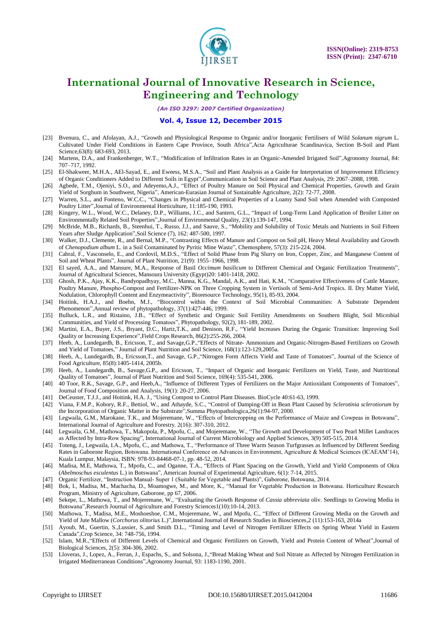

*(An ISO 3297: 2007 Certified Organization)*

#### **Vol. 4, Issue 12, December 2015**

- [23] Bvenura, C., and Afolayan, A.J., "Growth and Physiological Response to Organic and/or Inorganic Fertilisers of Wild *Solanum nigrum* L. Cultivated Under Field Conditions in Eastern Cape Province, South Africa",Acta Agriculturae Scandinavica, Section B-Soil and Plant Science, 63(8): 683-693, 2013.
- [24] Martens, D.A., and Frankenberger, W.T., "Modification of Infiltration Rates in an Organic-Amended Irrigated Soil",Agronomy Journal, 84: 707–717, 1992.
- [25] El-Shakweer, M.H.A., AEl-Sayad, E., and Eweess, M.S.A., "Soil and Plant Analysis as a Guide for Interpretation of Improvement Efficiency of Organic Conditioners Added to Different Soils in Egypt",Communication in Soil Science and Plant Analysis, 29: 2067–2088, 1998.
- [26] Agbede, T.M., Ojenivi, S.O., and Adeyemo,A.J., "Effect of Poultry Manure on Soil Physical and Chemical Properties, Growth and Grain Yield of Sorghum in Southwest, Nigeria", American-Eurasian Journal of Sustainable Agriculture, 2(2): 72-77, 2008.
- [27] Warren, S.L., and Fonteno, W.C.C., "Changes in Physical and Chemical Properties of a Loamy Sand Soil when Amended with Composted Poultry Litter",Journal of Environmental Horticulture, 11:185-190, 1993.
- [28] Kingery, W.L., Wood, W.C., Delaney, D.P., Williams, J.C., and Santern, G.L., "Impact of Long-Term Land Application of Broiler Litter on Environmentally Related Soil Properties",Journal of Environmental Quality, 23(1):139-147, 1994.
- [29] McBride, M.B., Richards, B., Steenhui, T., Russo, J.J., and Sauve, S., "Mobility and Solubility of Toxic Metals and Nutrients in Soil Fifteen Years after Sludge Application",Soil Science (7), 162: 487-500, 1997.
- [30] Walker, D.J., Clemente, R., and Bernal, M.P., "Contrasting Effects of Manure and Compost on Soil pH, Heavy Metal Availability and Growth of *Chenopodium album* L. in a Soil Contaminated by Pyritic Mine Waste", Chemosphere, 57(3): 215-224, 2004.
- [31] Cabral, F., Vasconselo, E., and Cordovil, M.D.S., "Effect of Solid Phase from Pig Slurry on Iron, Copper, Zinc, and Manganese Content of Soil and Wheat Plants", Journal of Plant Nutrition, 21(9): 1955–1966, 1998.
- [32] El sayed, A.A., and Mansure, M.A., Response of Basil *Occimum basilicum* to Different Chemical and Organic Fertilization Treatments", Journal of Agricultural Sciences, Mansoura University (Egypt)20: 1401-1418, 2002.
- [33] Ghosh, P.K., Ajay, K.K., Bandyopadhyay, M.C., Manna, K.G., Mandal, A.K., and Hati, K.M., "Comparative Effectiveness of Cattle Manure, Poultry Manure, Phospho-Compost and Fertilizer-NPK on Three Cropping System in Vertisols of Semi-Arid Tropics. II. Dry Matter Yield, Nodulation, Chlorophyll Content and Enzymeactivity", Bioresource Technology, 95(1), 85-93, 2004.
- [34] Hoitink, H.A.J., and Boehn, M.J., "Biocontrol within the Context of Soil Microbial Communities: A Substrate Dependent Phenomenon",Annual review of phytopathology, 37(1):427-446, 1999.
- [35] Bulluck, L.R., and Ristaino, J.B., "Effect of Synthetic and Organic Soil Fertility Amendments on Southern Blight, Soil Microbial Communities, and Yield of Processing Tomatoes", Phytopathology, 92(2), 181-189, 2002.
- [36] Martini, E.A., Buyer, J.S., Bryant, D.C., Hartz,T.K., and Denison, R.F., "Yield Increases During the Organic Transition: Improving Soil Quality or Increasing Experience",Field Crops Research, 86(2):255-266, 2004.
- [37] Heeb, A., Lundegardh, B., Ericsson, T., and Savage,G.P.,"Effects of Nitrate- Ammonium and Organic-Nitrogen-Based Fertilizers on Growth and Yield of Tomatoes," Journal of Plant Nutrition and Soil Science, 168(1):123-129,2005a.
- [38] Heeb, A., Lundegardh, B., Ericsson,T., and Savage, G.P.,"Nitrogen Form Affects Yield and Taste of Tomatoes", Journal of the Science of Food Agriculture, 85(8):1405-1414, 2005b.
- [39] Heeb, A., Lundegardh, B., Savage,G.P., and Ericsson, T., "Impact of Organic and Inorganic Fertilizers on Yield, Taste, and Nutritional Quality of Tomatoes", Journal of Plant Nutrition and Soil Science, 169(4): 535-541, 2006.
- [40] 40 Toor, R.K., Savage, G.P., and Heeb,A., "Influence of Different Types of Fertilizers on the Major Antioxidant Components of Tomatoes", Journal of Food Composition and Analysis, 19(1): 20-27, 2006.
- [41] DeCeuster, T.J.J., and Hoitink, H.A. J., "Using Compost to Control Plant Diseases. BioCycle 40:61-63, 1999.
- [42] Viana, F.M.P., Kobory, R.F., Bettiol, W., and Athayde, S.C., "Control of Damping-Off in Bean Plant Caused by *Sclerotinia sclerotiorum* by the Incorporation of Organic Matter in the Substrate",Summa Phytopathologica,26(1):94-97, 2000.
- [43] Legwaila, G.M., Marokane, T.K., and Mojeremane, W., "Effects of Intercropping on the Performance of Maize and Cowpeas in Botswana", International Journal of Agriculture and Forestry. 2(16): 307-310, 2012.
- [44] Legwaila, G.M., Mathowa, T., Makopola, P., Mpofu, C., and Mojeremane, W., "The Growth and Development of Two Pearl Millet Landraces as Affected by Intra-Row Spacing", International Journal of Current Microbiology and Applied Sciences, 3(9) 505-515, 2014.
- [45] Toteng, J., Legwaila, I.A., Mpofu, C., and Mathowa, T., "Performance of Three Warm Season Turfgrasses as Influenced by Different Seeding Rates in Gaborone Region, Botswana. International Conference on Advances in Environment, Agriculture & Medical Sciences (ICAEAM"14), Kuala Lumpur, Malaysia, ISBN: 978-93-84468-07-1, pp. 48-52, 2014.
- [46] Madisa, M.E, Mathowa, T., Mpofu, C., and Oganne, T.A., "Effects of Plant Spacing on the Growth, Yield and Yield Components of Okra (*Abelmoschus esculentus* L.) in Botswana", American Journal of Experimental Agriculture, 6(1): 7-14, 2015.
- [47] Organic Fertilizer, "Instruction Manual- Super 1 (Suitable for Vegetable and Plants)", Gaborone, Botswana, 2014.
- [48] Bok, I., Madisa, M., Machacha, D., Moamogwe, M., and More, K., "Manual for Vegetable Production in Botswana. Horticulture Research Program, Ministry of Agriculture, Gaborone, pp 67, 2006.
- [49] Sekepe, L., Mathowa, T., and Mojeremane, W., "Evaluating the Growth Response of *Cassia abbreviata* oliv. Seedlings to Growing Media in Botswana", Research Journal of Agriculture and Forestry Sciences1(10):10-14, 2013.
- [50] Mathowa, T., Madisa, M.E., Moshoeshoe, C.M., Mojeremane, W., and Mpofu, C., "Effect of Different Growing Media on the Growth and Yield of Jute Mallow (*Corchorus olitorius* L.)",International Journal of Research Studies in Biosciences,2 (11):153-163, 2014a
- [51] Ayoub, M., Guertin, S.,Lussier, S.,and Smith D.L., "Timing and Level of Nitrogen Fertilizer Effects on Spring Wheat Yield in Eastern Canada",Crop Science, 34: 748-756, 1994.
- [52] Islam, M.R.,"Effects of Different Levels of Chemical and Organic Fertilizers on Growth, Yield and Protein Content of Wheat",Journal of Biological Sciences, 2(5): 304-306, 2002.
- [53] Lloveras, J., Lopez, A., Ferran, J., Espachs, S., and Solsona, J.,"Bread Making Wheat and Soil Nitrate as Affected by Nitrogen Fertilization in Irrigated Mediterranean Conditions",Agronomy Journal, 93: 1183-1190, 2001.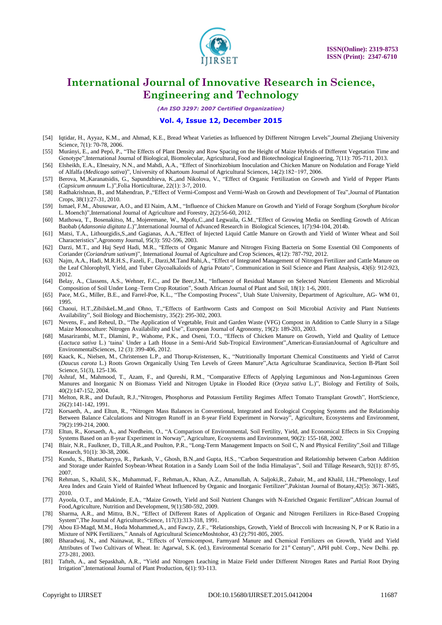

*(An ISO 3297: 2007 Certified Organization)*

#### **Vol. 4, Issue 12, December 2015**

- [54] Iqtidar, H., Ayyaz, K.M., and Ahmad, K.E., Bread Wheat Varieties as Influenced by Different Nitrogen Levels",Journal Zhejiang University Science, 7(1): 70-78, 2006.
- [55] Murányi, E., and Pepó, P., "The Effects of Plant Density and Row Spacing on the Height of Maize Hybrids of Different Vegetation Time and Genotype",International Journal of Biological, Biomolecular, Agricultural, Food and Biotechnological Engineering, 7(11): 705-711, 2013.
- [56] Elsheikh, E.A., Elnesairy, N.N., and Mahdi, A.A., "Effect of Sinorhizobium Inoculation and Chicken Manure on Nodulation and Forage Yield of Alfalfa (*Medicago sativa*)", University of Khartoum Journal of Agricultural Sciences, 14(2):182−197, 2006.
- [57] Berova, M.,Karanatsidis, G., Sapundzhieva, K.,and Nikolova, V., "Effect of Organic Fertilization on Growth and Yield of Pepper Plants (*Capsicum annuum* L.)",Folia Horticulturae, 22(1): 3-7, 2010.
- [58] Radhakrishnan, B., and Mahendran, P.,"Effect of Vermi-Compost and Vermi-Wash on Growth and Development of Tea",Journal of Plantation Crops, 38(1):27-31, 2010.
- [59] Ismael, F.M., Abusuwar, A.O., and El Naim, A.M., "Influence of Chicken Manure on Growth and Yield of Forage Sorghum (*Sorghum bicolor*  L. Moench)",International Journal of Agriculture and Forestry, 2(2):56-60, 2012.
- [60] Mathowa, T., Bosenakitso, M., Mojeremane, W., Mpofu,C.,and Legwaila, G.M.,"Effect of Growing Media on Seedling Growth of African Baobab (*Adansonia digitata L*.)",International Journal of Advanced Research in Biological Sciences, 1(7):94-104, 2014b.
- [61] Matsi, T.A., Lithourgidis,S.,and Gagianas, A.A.,"Effect of Injected Liquid Cattle Manure on Growth and Yield of Winter Wheat and Soil Characteristics",Agronomy Journal, 95(3): 592-596, 2003.
- [62] Darzi, M.T., and Haj Seyd Hadi, M.R., "Effects of Organic Manure and Nitrogen Fixing Bacteria on Some Essential Oil Components of Coriander (*Coriandrum sativum*)", International Journal of Agriculture and Crop Sciences, 4(12): 787-792, 2012.
- [63] Najm, A.A., Hadi, M.R.H.S., Fazeli, F., Darzi,M.Tand Rahi,A., "Effect of Integrated Management of Nitrogen Fertilizer and Cattle Manure on the Leaf Chlorophyll, Yield, and Tuber Glycoalkaloids of Agria Potato", Communication in Soil Science and Plant Analysis, 43(6): 912-923, 2012.
- [64] Belay, A., Classens, A.S., Wehner, F.C., and De Beer,J.M., "Influence of Residual Manure on Selected Nutrient Elements and Microbial Composition of Soil Under Long–Term Crop Rotation", South African Journal of Plant and Soil, 18(1): 1-6, 2001.
- [65] Pace, M.G., Miller, B.E., and Farrel-Poe, K.L., "The Composting Process", Utah State University, Department of Agriculture, AG- WM 01, 1995.
- [66] Chaoui, H.T.,ZibilskeL.M.,and Ohno, T.,"Effects of Earthworm Casts and Compost on Soil Microbial Activity and Plant Nutrients Availability", Soil Biology and Biochemistry, 35(2): 295-302, 2003.
- [67] Nevens, F., and Reheul, D., "The Application of Vegetable, Fruit and Garden Waste (VFG) Compost in Addition to Cattle Slurry in a Silage Maize Monoculture: Nitrogen Availability and Use", European Journal of Agronomy, 19(2): 189-203, 2003.
- [68] Masarirambi, M.T., Dlamini, P., Wahome, P.K., and Oseni, T.O., "Effects of Chicken Manure on Growth, Yield and Quality of Lettuce (*Lactuca sativa* L.) "taina" Under a Lath House in a Semi-Arid Sub-Tropical Environment",American-EurasianJournal of Agriculture and EnvironmentalSciences, 12 (3): 399-406, 2012.
- [69] Kaack, K., Nielsen, M., Christensen L.P., and Thorup-Kristensen, K., "Nutritionally Important Chemical Constituents and Yield of Carrot (*Daucus carota* L.) Roots Grown Organically Using Ten Levels of Green Manure",Acta Agriculturae Scandinavica, Section B-Plant Soil Science, 51(3), 125-136.
- [70] Ashraf, M., Mahmood, T., Azam, F., and Qureshi, R.M., "Comparative Effects of Applying Leguminous and Non-Leguminous Green Manures and Inorganic N on Biomass Yield and Nitrogen Uptake in Flooded Rice (*Oryza sativa* L.)", Biology and Fertility of Soils, 40(2):147-152, 2004.
- [71] Melton, R.R., and Dufault, R.J.,"Nitrogen, Phosphorus and Potassium Fertility Regimes Affect Tomato Transplant Growth", HortScience, 26(2):141-142, 1991.
- [72] Korsaeth, A., and Eltun, R., "Nitrogen Mass Balances in Conventional, Integrated and Ecological Cropping Systems and the Relationship Between Balance Calculations and Nitrogen Runoff in an 8-year Field Experiment in Norway", Agriculture, Ecosystems and Environment, 79(2):199-214, 2000.
- [73] Eltun, R., Korsaeth, A., and Nordheim, O., "A Comparison of Environmental, Soil Fertility, Yield, and Economical Effects in Six Cropping Systems Based on an 8-year Experiment in Norway", Agriculture, Ecosystems and Environment, 90(2): 155-168, 2002.
- [74] Blair, N.R., Faulkner, D., Till,A.R.,and Poulton, P.R., "Long-Term Management Impacts on Soil C, N and Physical Fertility",Soil and Tillage Research, 91(1): 30-38, 2006.
- [75] Kundu, S., Bhattacharyya, R., Parkash, V., Ghosh, B.N.,and Gupta, H.S., "Carbon Sequestration and Relationship between Carbon Addition and Storage under Rainfed Soybean-Wheat Rotation in a Sandy Loam Soil of the India Himalayas", Soil and Tillage Research, 92(1): 87-95, 2007.
- [76] Rehman, S., Khalil, S.K., Muhammad, F., Rehman,A., Khan, A.Z., Amanullah, A. Saljoki,R., Zubair, M., and Khalil, I.H.,"Phenology, Leaf Area Index and Grain Yield of Rainfed Wheat Influenced by Organic and Inorganic Fertilizer",Pakistan Journal of Botany,42(5): 3671-3685, 2010.
- [77] Ayoola, O.T., and Makinde, E.A., "Maize Growth, Yield and Soil Nutrient Changes with N-Enriched Organic Fertilizer",African Journal of Food,Agriculture, Nutrition and Development, 9(1):580-592, 2009.
- [78] Sharma, A.R., and Mittra, B.N., "Effect of Different Rates of Application of Organic and Nitrogen Fertilizers in Rice-Based Cropping System",The Journal of AgricultureScience, 117(3):313-318, 1991.
- [79] Abou El-Magd, M.M., Hoda Mohammed,A., and Fawzy, Z.F., "Relationships, Growth, Yield of Broccoli with Increasing N, P or K Ratio in a Mixture of NPK Fertilizers," Annals of Agricultural ScienceMoshtohor, 43 (2):791-805, 2005.
- [80] Bharadwaj, N., and Nainawat, R., "Effects of Vermicompost, Farmyard Manure and Chemical Fertilizers on Growth, Yield and Yield Attributes of Two Cultivars of Wheat. In: Agarwal, S.K. (ed.), Environmental Scenario for  $21<sup>st</sup>$  Century", APH publ. Corp., New Delhi. pp. 273-281, 2003.
- [81] Tafteh, A., and Sepaskhah, A.R., "Yield and Nitrogen Leaching in Maize Field under Different Nitrogen Rates and Partial Root Drying Irrigation",International Journal of Plant Production, 6(1): 93-113.